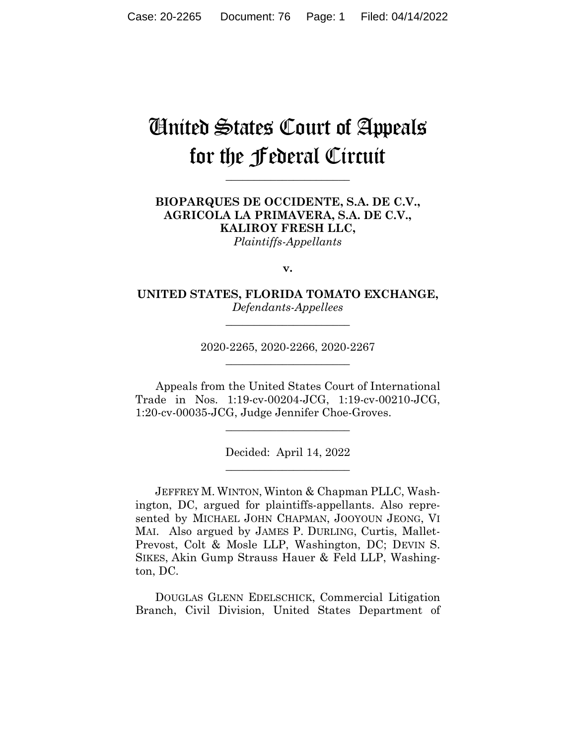# United States Court of Appeals for the Federal Circuit

**\_\_\_\_\_\_\_\_\_\_\_\_\_\_\_\_\_\_\_\_\_\_** 

## **BIOPARQUES DE OCCIDENTE, S.A. DE C.V., AGRICOLA LA PRIMAVERA, S.A. DE C.V., KALIROY FRESH LLC,**

*Plaintiffs-Appellants*

**v.**

**UNITED STATES, FLORIDA TOMATO EXCHANGE,** *Defendants-Appellees*

**\_\_\_\_\_\_\_\_\_\_\_\_\_\_\_\_\_\_\_\_\_\_** 

2020-2265, 2020-2266, 2020-2267 **\_\_\_\_\_\_\_\_\_\_\_\_\_\_\_\_\_\_\_\_\_\_** 

Appeals from the United States Court of International Trade in Nos. 1:19-cv-00204-JCG, 1:19-cv-00210-JCG, 1:20-cv-00035-JCG, Judge Jennifer Choe-Groves.

 $\overline{\phantom{a}}$  , where  $\overline{\phantom{a}}$  , where  $\overline{\phantom{a}}$  , where  $\overline{\phantom{a}}$ 

Decided: April 14, 2022  $\overline{\phantom{a}}$  , where  $\overline{\phantom{a}}$  , where  $\overline{\phantom{a}}$  , where  $\overline{\phantom{a}}$ 

 JEFFREY M. WINTON, Winton & Chapman PLLC, Washington, DC, argued for plaintiffs-appellants. Also represented by MICHAEL JOHN CHAPMAN, JOOYOUN JEONG, VI MAI. Also argued by JAMES P. DURLING, Curtis, Mallet-Prevost, Colt & Mosle LLP, Washington, DC; DEVIN S. SIKES, Akin Gump Strauss Hauer & Feld LLP, Washington, DC.

 DOUGLAS GLENN EDELSCHICK, Commercial Litigation Branch, Civil Division, United States Department of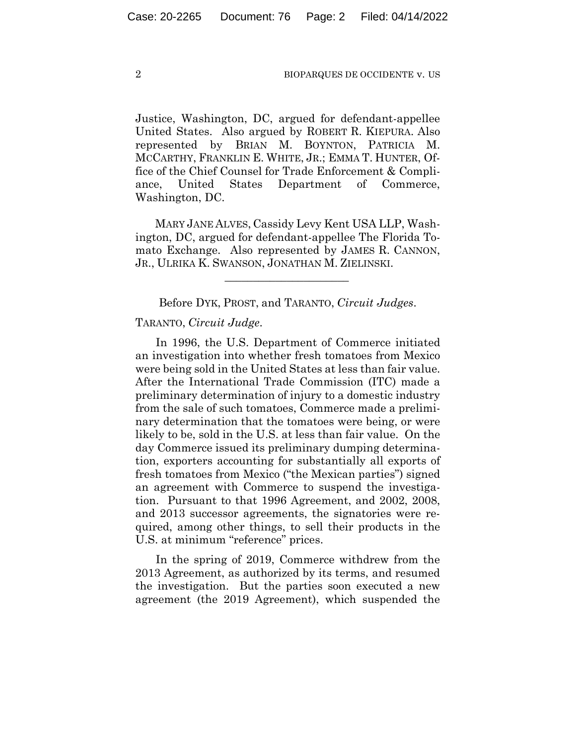Justice, Washington, DC, argued for defendant-appellee United States. Also argued by ROBERT R. KIEPURA. Also represented by BRIAN M. BOYNTON, PATRICIA M. MCCARTHY, FRANKLIN E. WHITE, JR.; EMMA T. HUNTER, Office of the Chief Counsel for Trade Enforcement & Compliance, United States Department of Commerce, Washington, DC.

 MARY JANE ALVES, Cassidy Levy Kent USA LLP, Washington, DC, argued for defendant-appellee The Florida Tomato Exchange. Also represented by JAMES R. CANNON, JR., ULRIKA K. SWANSON, JONATHAN M. ZIELINSKI.

Before DYK, PROST, and TARANTO, *Circuit Judges*.

 $\mathcal{L}_\text{max}$  and  $\mathcal{L}_\text{max}$  and  $\mathcal{L}_\text{max}$  and  $\mathcal{L}_\text{max}$ 

## TARANTO, *Circuit Judge*.

In 1996, the U.S. Department of Commerce initiated an investigation into whether fresh tomatoes from Mexico were being sold in the United States at less than fair value. After the International Trade Commission (ITC) made a preliminary determination of injury to a domestic industry from the sale of such tomatoes, Commerce made a preliminary determination that the tomatoes were being, or were likely to be, sold in the U.S. at less than fair value. On the day Commerce issued its preliminary dumping determination, exporters accounting for substantially all exports of fresh tomatoes from Mexico ("the Mexican parties") signed an agreement with Commerce to suspend the investigation. Pursuant to that 1996 Agreement, and 2002, 2008, and 2013 successor agreements, the signatories were required, among other things, to sell their products in the U.S. at minimum "reference" prices.

In the spring of 2019, Commerce withdrew from the 2013 Agreement, as authorized by its terms, and resumed the investigation. But the parties soon executed a new agreement (the 2019 Agreement), which suspended the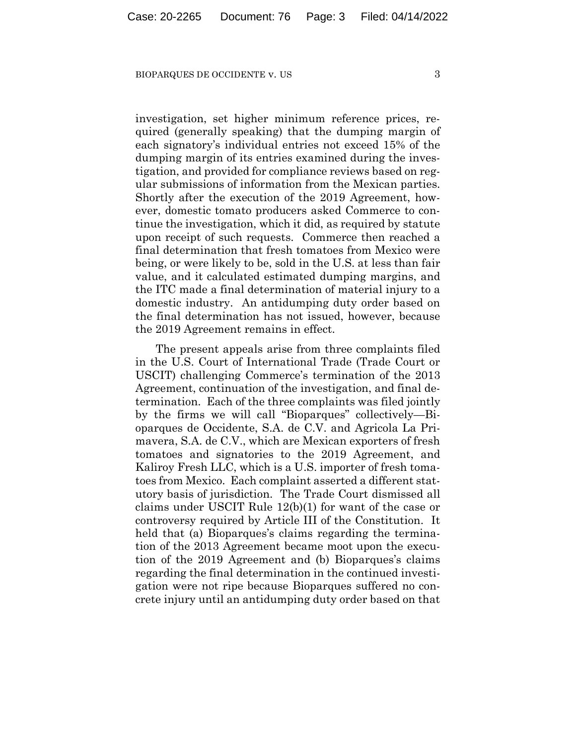investigation, set higher minimum reference prices, required (generally speaking) that the dumping margin of each signatory's individual entries not exceed 15% of the dumping margin of its entries examined during the investigation, and provided for compliance reviews based on regular submissions of information from the Mexican parties. Shortly after the execution of the 2019 Agreement, however, domestic tomato producers asked Commerce to continue the investigation, which it did, as required by statute upon receipt of such requests. Commerce then reached a final determination that fresh tomatoes from Mexico were being, or were likely to be, sold in the U.S. at less than fair value, and it calculated estimated dumping margins, and the ITC made a final determination of material injury to a domestic industry. An antidumping duty order based on the final determination has not issued, however, because the 2019 Agreement remains in effect.

The present appeals arise from three complaints filed in the U.S. Court of International Trade (Trade Court or USCIT) challenging Commerce's termination of the 2013 Agreement, continuation of the investigation, and final determination. Each of the three complaints was filed jointly by the firms we will call "Bioparques" collectively—Bioparques de Occidente, S.A. de C.V. and Agricola La Primavera, S.A. de C.V., which are Mexican exporters of fresh tomatoes and signatories to the 2019 Agreement, and Kaliroy Fresh LLC, which is a U.S. importer of fresh tomatoes from Mexico. Each complaint asserted a different statutory basis of jurisdiction. The Trade Court dismissed all claims under USCIT Rule 12(b)(1) for want of the case or controversy required by Article III of the Constitution. It held that (a) Bioparques's claims regarding the termination of the 2013 Agreement became moot upon the execution of the 2019 Agreement and (b) Bioparques's claims regarding the final determination in the continued investigation were not ripe because Bioparques suffered no concrete injury until an antidumping duty order based on that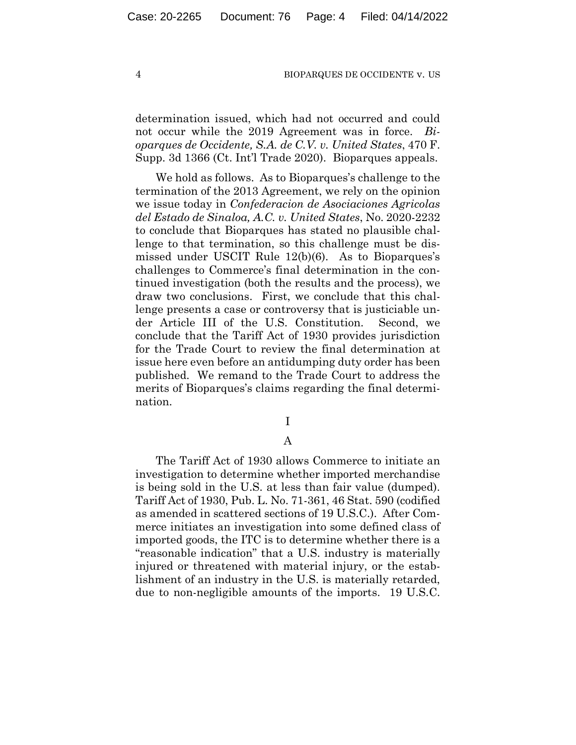determination issued, which had not occurred and could not occur while the 2019 Agreement was in force. *Bioparques de Occidente, S.A. de C.V. v. United States*, 470 F. Supp. 3d 1366 (Ct. Int'l Trade 2020). Bioparques appeals.

We hold as follows. As to Bioparques's challenge to the termination of the 2013 Agreement, we rely on the opinion we issue today in *Confederacion de Asociaciones Agricolas del Estado de Sinaloa, A.C. v. United States*, No. 2020-2232 to conclude that Bioparques has stated no plausible challenge to that termination, so this challenge must be dismissed under USCIT Rule 12(b)(6). As to Bioparques's challenges to Commerce's final determination in the continued investigation (both the results and the process), we draw two conclusions. First, we conclude that this challenge presents a case or controversy that is justiciable under Article III of the U.S. Constitution. Second, we conclude that the Tariff Act of 1930 provides jurisdiction for the Trade Court to review the final determination at issue here even before an antidumping duty order has been published. We remand to the Trade Court to address the merits of Bioparques's claims regarding the final determination.

I

## A

The Tariff Act of 1930 allows Commerce to initiate an investigation to determine whether imported merchandise is being sold in the U.S. at less than fair value (dumped). Tariff Act of 1930, Pub. L. No. 71-361, 46 Stat. 590 (codified as amended in scattered sections of 19 U.S.C.). After Commerce initiates an investigation into some defined class of imported goods, the ITC is to determine whether there is a "reasonable indication" that a U.S. industry is materially injured or threatened with material injury, or the establishment of an industry in the U.S. is materially retarded, due to non-negligible amounts of the imports. 19 U.S.C.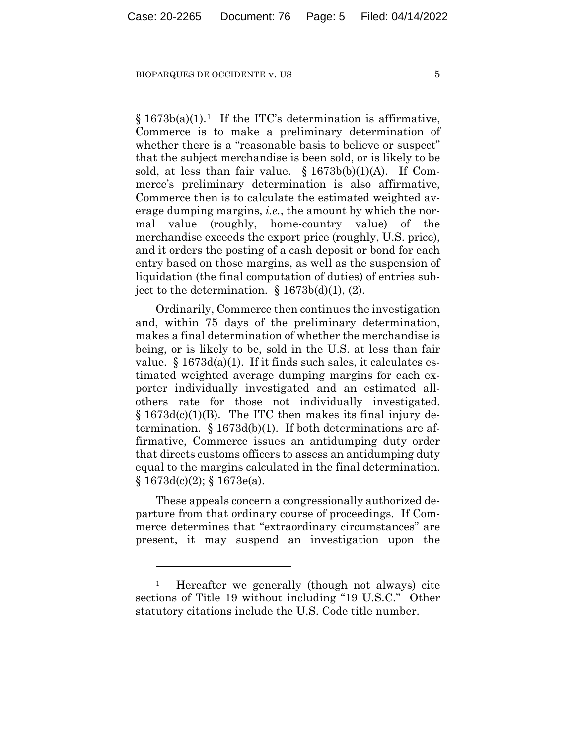$§ 1673b(a)(1).$ <sup>1</sup> If the ITC's determination is affirmative, Commerce is to make a preliminary determination of whether there is a "reasonable basis to believe or suspect" that the subject merchandise is been sold, or is likely to be sold, at less than fair value.  $\S 1673b(b)(1)(A)$ . If Commerce's preliminary determination is also affirmative, Commerce then is to calculate the estimated weighted average dumping margins, *i.e.*, the amount by which the normal value (roughly, home-country value) of the merchandise exceeds the export price (roughly, U.S. price), and it orders the posting of a cash deposit or bond for each entry based on those margins, as well as the suspension of liquidation (the final computation of duties) of entries subject to the determination.  $\S 1673b(d)(1)$ , (2).

Ordinarily, Commerce then continues the investigation and, within 75 days of the preliminary determination, makes a final determination of whether the merchandise is being, or is likely to be, sold in the U.S. at less than fair value.  $§ 1673d(a)(1)$ . If it finds such sales, it calculates estimated weighted average dumping margins for each exporter individually investigated and an estimated allothers rate for those not individually investigated. § 1673d(c)(1)(B). The ITC then makes its final injury determination.  $\S 1673d(b)(1)$ . If both determinations are affirmative, Commerce issues an antidumping duty order that directs customs officers to assess an antidumping duty equal to the margins calculated in the final determination.  $§ 1673d(c)(2);$   $§ 1673e(a).$ 

These appeals concern a congressionally authorized departure from that ordinary course of proceedings. If Commerce determines that "extraordinary circumstances" are present, it may suspend an investigation upon the

<sup>1</sup> Hereafter we generally (though not always) cite sections of Title 19 without including "19 U.S.C." Other statutory citations include the U.S. Code title number.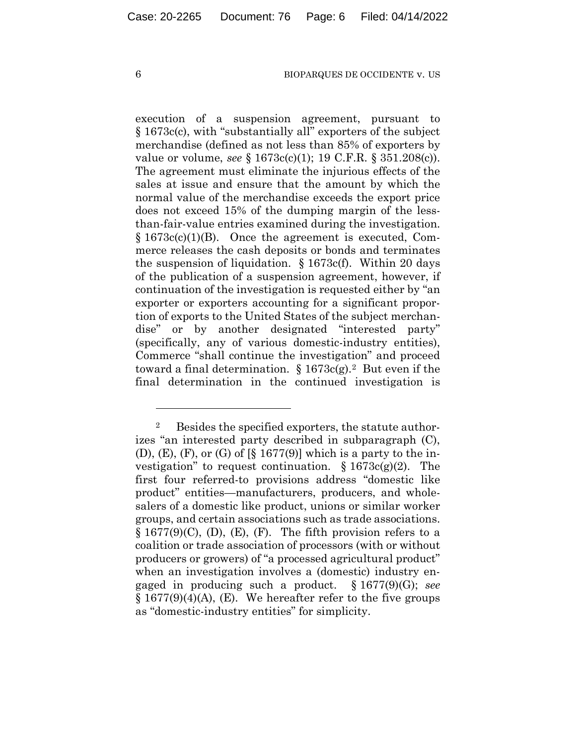execution of a suspension agreement, pursuant to § 1673c(c), with "substantially all" exporters of the subject merchandise (defined as not less than 85% of exporters by value or volume, *see* § 1673c(c)(1); 19 C.F.R. § 351.208(c)). The agreement must eliminate the injurious effects of the sales at issue and ensure that the amount by which the normal value of the merchandise exceeds the export price does not exceed 15% of the dumping margin of the lessthan-fair-value entries examined during the investigation.  $§ 1673c(c)(1)(B)$ . Once the agreement is executed, Commerce releases the cash deposits or bonds and terminates the suspension of liquidation. § 1673c(f). Within 20 days of the publication of a suspension agreement, however, if continuation of the investigation is requested either by "an exporter or exporters accounting for a significant proportion of exports to the United States of the subject merchandise" or by another designated "interested party" (specifically, any of various domestic-industry entities), Commerce "shall continue the investigation" and proceed toward a final determination.  $\S 1673c(g).^2$  But even if the final determination in the continued investigation is

<sup>2</sup> Besides the specified exporters, the statute authorizes "an interested party described in subparagraph (C),  $(D)$ ,  $(E)$ ,  $(F)$ , or  $(G)$  of  $\lbrack \S \rbrack$  1677(9)] which is a party to the investigation" to request continuation.  $\S 1673c(g)(2)$ . The first four referred-to provisions address "domestic like product" entities—manufacturers, producers, and wholesalers of a domestic like product, unions or similar worker groups, and certain associations such as trade associations.  $\S 1677(9)(C)$ , (D), (E), (F). The fifth provision refers to a coalition or trade association of processors (with or without producers or growers) of "a processed agricultural product" when an investigation involves a (domestic) industry engaged in producing such a product. § 1677(9)(G); *see*   $\S 1677(9)(4)(A)$ , (E). We hereafter refer to the five groups as "domestic-industry entities" for simplicity.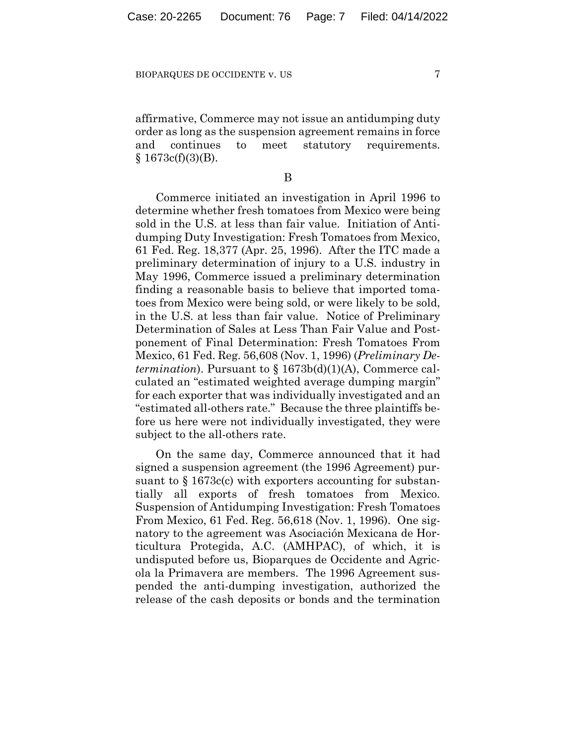affirmative, Commerce may not issue an antidumping duty order as long as the suspension agreement remains in force and continues to meet statutory requirements.  $§ 1673c(f)(3)(B).$ 

### B

Commerce initiated an investigation in April 1996 to determine whether fresh tomatoes from Mexico were being sold in the U.S. at less than fair value. Initiation of Antidumping Duty Investigation: Fresh Tomatoes from Mexico, 61 Fed. Reg. 18,377 (Apr. 25, 1996). After the ITC made a preliminary determination of injury to a U.S. industry in May 1996, Commerce issued a preliminary determination finding a reasonable basis to believe that imported tomatoes from Mexico were being sold, or were likely to be sold, in the U.S. at less than fair value. Notice of Preliminary Determination of Sales at Less Than Fair Value and Postponement of Final Determination: Fresh Tomatoes From Mexico, 61 Fed. Reg. 56,608 (Nov. 1, 1996) (*Preliminary Determination*). Pursuant to § 1673b(d)(1)(A), Commerce calculated an "estimated weighted average dumping margin" for each exporter that was individually investigated and an "estimated all-others rate." Because the three plaintiffs before us here were not individually investigated, they were subject to the all-others rate.

On the same day, Commerce announced that it had signed a suspension agreement (the 1996 Agreement) pursuant to  $\S 1673c(c)$  with exporters accounting for substantially all exports of fresh tomatoes from Mexico. Suspension of Antidumping Investigation: Fresh Tomatoes From Mexico, 61 Fed. Reg. 56,618 (Nov. 1, 1996). One signatory to the agreement was Asociación Mexicana de Horticultura Protegida, A.C. (AMHPAC), of which, it is undisputed before us, Bioparques de Occidente and Agricola la Primavera are members. The 1996 Agreement suspended the anti-dumping investigation, authorized the release of the cash deposits or bonds and the termination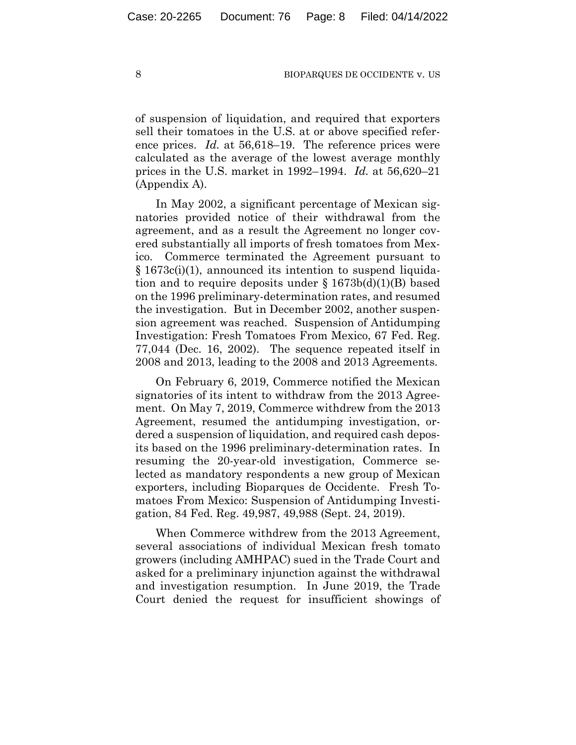of suspension of liquidation, and required that exporters sell their tomatoes in the U.S. at or above specified reference prices. *Id.* at 56,618–19. The reference prices were calculated as the average of the lowest average monthly prices in the U.S. market in 1992–1994. *Id.* at 56,620–21 (Appendix A).

In May 2002, a significant percentage of Mexican signatories provided notice of their withdrawal from the agreement, and as a result the Agreement no longer covered substantially all imports of fresh tomatoes from Mexico. Commerce terminated the Agreement pursuant to § 1673c(i)(1), announced its intention to suspend liquidation and to require deposits under  $\S 1673b(d)(1)(B)$  based on the 1996 preliminary-determination rates, and resumed the investigation. But in December 2002, another suspension agreement was reached. Suspension of Antidumping Investigation: Fresh Tomatoes From Mexico, 67 Fed. Reg. 77,044 (Dec. 16, 2002). The sequence repeated itself in 2008 and 2013, leading to the 2008 and 2013 Agreements.

On February 6, 2019, Commerce notified the Mexican signatories of its intent to withdraw from the 2013 Agreement. On May 7, 2019, Commerce withdrew from the 2013 Agreement, resumed the antidumping investigation, ordered a suspension of liquidation, and required cash deposits based on the 1996 preliminary-determination rates. In resuming the 20-year-old investigation, Commerce selected as mandatory respondents a new group of Mexican exporters, including Bioparques de Occidente. Fresh Tomatoes From Mexico: Suspension of Antidumping Investigation, 84 Fed. Reg. 49,987, 49,988 (Sept. 24, 2019).

When Commerce withdrew from the 2013 Agreement, several associations of individual Mexican fresh tomato growers (including AMHPAC) sued in the Trade Court and asked for a preliminary injunction against the withdrawal and investigation resumption. In June 2019, the Trade Court denied the request for insufficient showings of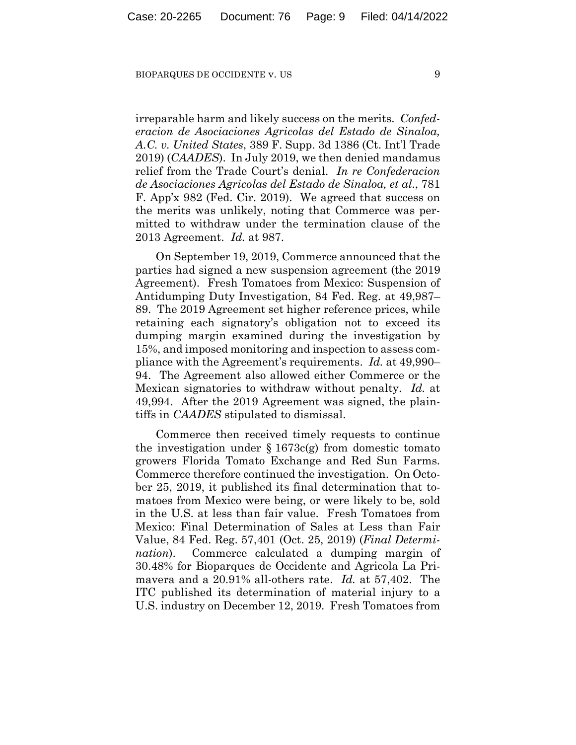irreparable harm and likely success on the merits. *Confederacion de Asociaciones Agricolas del Estado de Sinaloa, A.C. v. United States*, 389 F. Supp. 3d 1386 (Ct. Int'l Trade 2019) (*CAADES*). In July 2019, we then denied mandamus relief from the Trade Court's denial. *In re Confederacion de Asociaciones Agricolas del Estado de Sinaloa, et al*., 781 F. App'x 982 (Fed. Cir. 2019). We agreed that success on the merits was unlikely, noting that Commerce was permitted to withdraw under the termination clause of the 2013 Agreement. *Id.* at 987.

On September 19, 2019, Commerce announced that the parties had signed a new suspension agreement (the 2019 Agreement). Fresh Tomatoes from Mexico: Suspension of Antidumping Duty Investigation, 84 Fed. Reg. at 49,987– 89. The 2019 Agreement set higher reference prices, while retaining each signatory's obligation not to exceed its dumping margin examined during the investigation by 15%, and imposed monitoring and inspection to assess compliance with the Agreement's requirements. *Id.* at 49,990– 94. The Agreement also allowed either Commerce or the Mexican signatories to withdraw without penalty. *Id.* at 49,994. After the 2019 Agreement was signed, the plaintiffs in *CAADES* stipulated to dismissal.

Commerce then received timely requests to continue the investigation under  $\S 1673c(g)$  from domestic tomato growers Florida Tomato Exchange and Red Sun Farms. Commerce therefore continued the investigation. On October 25, 2019, it published its final determination that tomatoes from Mexico were being, or were likely to be, sold in the U.S. at less than fair value. Fresh Tomatoes from Mexico: Final Determination of Sales at Less than Fair Value, 84 Fed. Reg. 57,401 (Oct. 25, 2019) (*Final Determination*). Commerce calculated a dumping margin of 30.48% for Bioparques de Occidente and Agricola La Primavera and a 20.91% all-others rate. *Id.* at 57,402. The ITC published its determination of material injury to a U.S. industry on December 12, 2019. Fresh Tomatoes from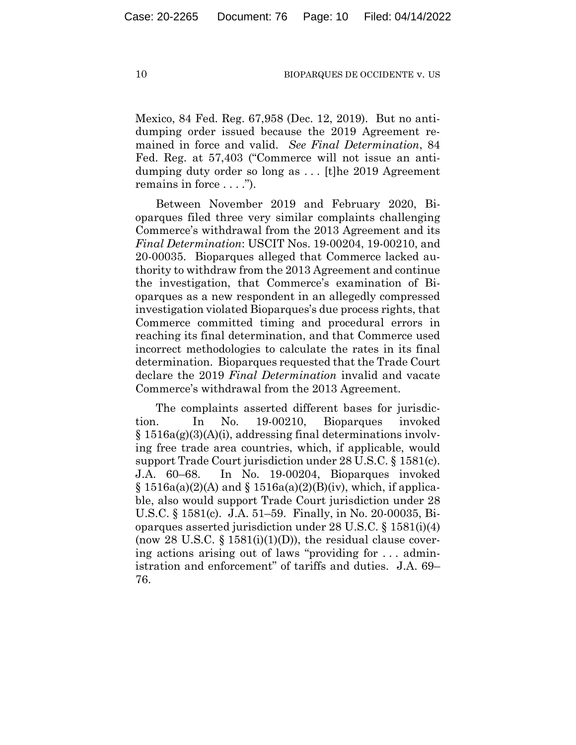Mexico, 84 Fed. Reg. 67,958 (Dec. 12, 2019). But no antidumping order issued because the 2019 Agreement remained in force and valid. *See Final Determination*, 84 Fed. Reg. at 57,403 ("Commerce will not issue an antidumping duty order so long as . . . [t]he 2019 Agreement remains in force . . . .").

Between November 2019 and February 2020, Bioparques filed three very similar complaints challenging Commerce's withdrawal from the 2013 Agreement and its *Final Determination*: USCIT Nos. 19-00204, 19-00210, and 20-00035. Bioparques alleged that Commerce lacked authority to withdraw from the 2013 Agreement and continue the investigation, that Commerce's examination of Bioparques as a new respondent in an allegedly compressed investigation violated Bioparques's due process rights, that Commerce committed timing and procedural errors in reaching its final determination, and that Commerce used incorrect methodologies to calculate the rates in its final determination. Bioparques requested that the Trade Court declare the 2019 *Final Determination* invalid and vacate Commerce's withdrawal from the 2013 Agreement.

The complaints asserted different bases for jurisdiction. In No. 19-00210, Bioparques invoked  $§ 1516a(g)(3)(A)(i)$ , addressing final determinations involving free trade area countries, which, if applicable, would support Trade Court jurisdiction under 28 U.S.C. § 1581(c). J.A. 60–68. In No. 19-00204, Bioparques invoked  $\S$  1516a(a)(2)(A) and  $\S$  1516a(a)(2)(B)(iv), which, if applicable, also would support Trade Court jurisdiction under 28 U.S.C. § 1581(c). J.A. 51–59. Finally, in No. 20-00035, Bioparques asserted jurisdiction under 28 U.S.C. § 1581(i)(4) (now 28 U.S.C.  $\S$  1581(i)(1)(D)), the residual clause covering actions arising out of laws "providing for . . . administration and enforcement" of tariffs and duties. J.A. 69– 76.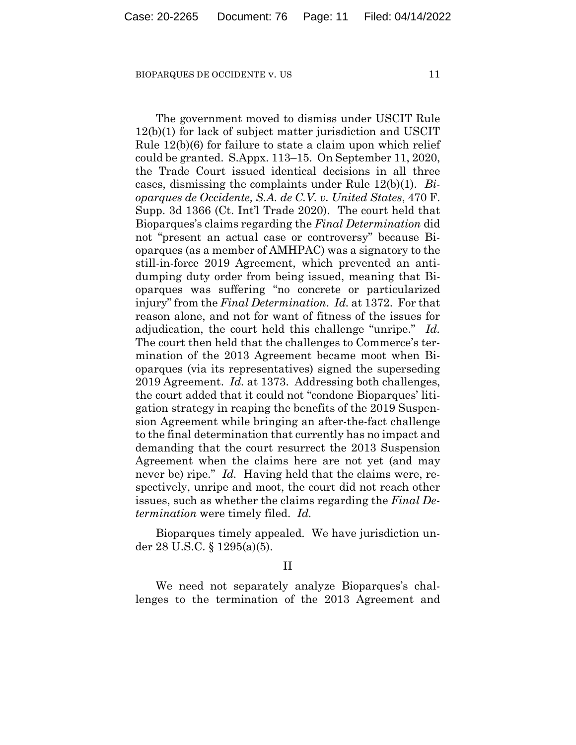The government moved to dismiss under USCIT Rule 12(b)(1) for lack of subject matter jurisdiction and USCIT Rule 12(b)(6) for failure to state a claim upon which relief could be granted. S.Appx. 113–15. On September 11, 2020, the Trade Court issued identical decisions in all three cases, dismissing the complaints under Rule 12(b)(1). *Bioparques de Occidente, S.A. de C.V. v. United States*, 470 F. Supp. 3d 1366 (Ct. Int'l Trade 2020). The court held that Bioparques's claims regarding the *Final Determination* did not "present an actual case or controversy" because Bioparques (as a member of AMHPAC) was a signatory to the still-in-force 2019 Agreement, which prevented an antidumping duty order from being issued, meaning that Bioparques was suffering "no concrete or particularized injury" from the *Final Determination*. *Id.* at 1372. For that reason alone, and not for want of fitness of the issues for adjudication, the court held this challenge "unripe." *Id.* The court then held that the challenges to Commerce's termination of the 2013 Agreement became moot when Bioparques (via its representatives) signed the superseding 2019 Agreement. *Id.* at 1373. Addressing both challenges, the court added that it could not "condone Bioparques' litigation strategy in reaping the benefits of the 2019 Suspension Agreement while bringing an after-the-fact challenge to the final determination that currently has no impact and demanding that the court resurrect the 2013 Suspension Agreement when the claims here are not yet (and may never be) ripe." *Id.* Having held that the claims were, respectively, unripe and moot, the court did not reach other issues, such as whether the claims regarding the *Final Determination* were timely filed. *Id.*

Bioparques timely appealed. We have jurisdiction under 28 U.S.C. § 1295(a)(5).

II

We need not separately analyze Bioparques's challenges to the termination of the 2013 Agreement and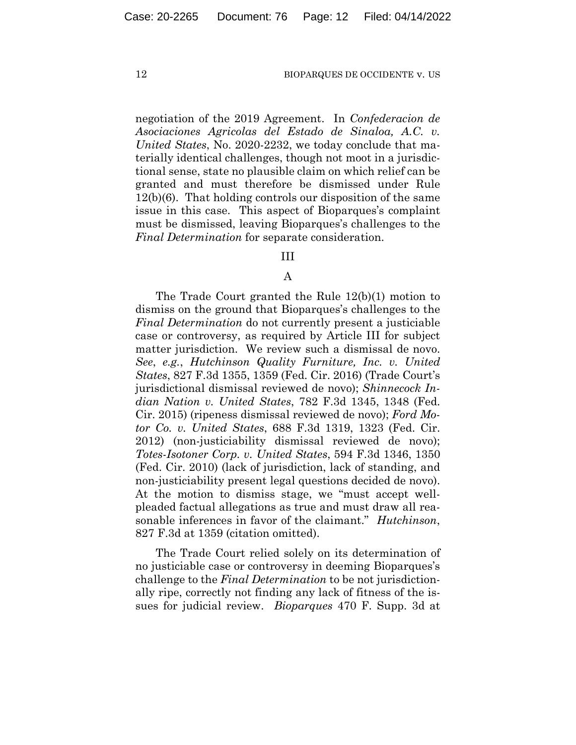negotiation of the 2019 Agreement. In *Confederacion de Asociaciones Agricolas del Estado de Sinaloa, A.C. v. United States*, No. 2020-2232, we today conclude that materially identical challenges, though not moot in a jurisdictional sense, state no plausible claim on which relief can be granted and must therefore be dismissed under Rule 12(b)(6). That holding controls our disposition of the same issue in this case. This aspect of Bioparques's complaint must be dismissed, leaving Bioparques's challenges to the *Final Determination* for separate consideration.

## III

## A

The Trade Court granted the Rule 12(b)(1) motion to dismiss on the ground that Bioparques's challenges to the *Final Determination* do not currently present a justiciable case or controversy, as required by Article III for subject matter jurisdiction. We review such a dismissal de novo. *See*, *e.g.*, *Hutchinson Quality Furniture, Inc. v. United States*, 827 F.3d 1355, 1359 (Fed. Cir. 2016) (Trade Court's jurisdictional dismissal reviewed de novo); *Shinnecock Indian Nation v. United States*, 782 F.3d 1345, 1348 (Fed. Cir. 2015) (ripeness dismissal reviewed de novo); *Ford Motor Co. v. United States*, 688 F.3d 1319, 1323 (Fed. Cir. 2012) (non-justiciability dismissal reviewed de novo); *Totes-Isotoner Corp. v. United States*, 594 F.3d 1346, 1350 (Fed. Cir. 2010) (lack of jurisdiction, lack of standing, and non-justiciability present legal questions decided de novo). At the motion to dismiss stage, we "must accept wellpleaded factual allegations as true and must draw all reasonable inferences in favor of the claimant." *Hutchinson*, 827 F.3d at 1359 (citation omitted).

The Trade Court relied solely on its determination of no justiciable case or controversy in deeming Bioparques's challenge to the *Final Determination* to be not jurisdictionally ripe, correctly not finding any lack of fitness of the issues for judicial review. *Bioparques* 470 F. Supp. 3d at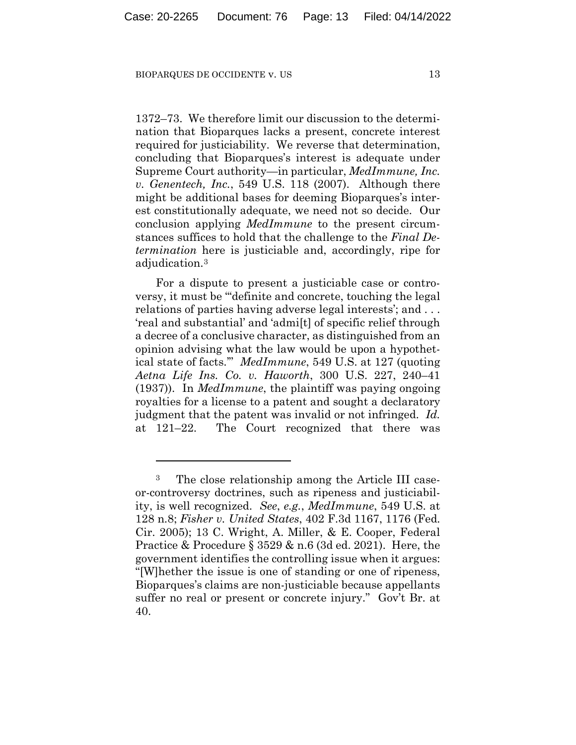1372–73. We therefore limit our discussion to the determination that Bioparques lacks a present, concrete interest required for justiciability. We reverse that determination, concluding that Bioparques's interest is adequate under Supreme Court authority—in particular, *MedImmune, Inc. v. Genentech, Inc.*, 549 U.S. 118 (2007). Although there might be additional bases for deeming Bioparques's interest constitutionally adequate, we need not so decide. Our conclusion applying *MedImmune* to the present circumstances suffices to hold that the challenge to the *Final Determination* here is justiciable and, accordingly, ripe for adjudication.3

For a dispute to present a justiciable case or controversy, it must be "'definite and concrete, touching the legal relations of parties having adverse legal interests'; and . . . 'real and substantial' and 'admi[t] of specific relief through a decree of a conclusive character, as distinguished from an opinion advising what the law would be upon a hypothetical state of facts.'" *MedImmune*, 549 U.S. at 127 (quoting *Aetna Life Ins. Co. v. Haworth*, 300 U.S. 227, 240–41 (1937)). In *MedImmune*, the plaintiff was paying ongoing royalties for a license to a patent and sought a declaratory judgment that the patent was invalid or not infringed. *Id.* at 121–22. The Court recognized that there was

<sup>3</sup> The close relationship among the Article III caseor-controversy doctrines, such as ripeness and justiciability, is well recognized. *See*, *e.g.*, *MedImmune*, 549 U.S. at 128 n.8; *Fisher v. United States*, 402 F.3d 1167, 1176 (Fed. Cir. 2005); 13 C. Wright, A. Miller, & E. Cooper, Federal Practice & Procedure § 3529 & n.6 (3d ed. 2021). Here, the government identifies the controlling issue when it argues: "[W]hether the issue is one of standing or one of ripeness, Bioparques's claims are non-justiciable because appellants suffer no real or present or concrete injury." Gov't Br. at 40.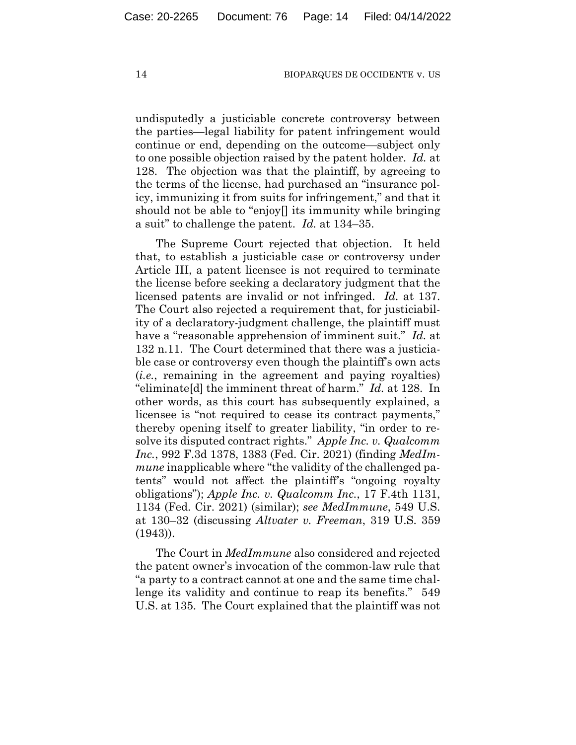undisputedly a justiciable concrete controversy between the parties—legal liability for patent infringement would continue or end, depending on the outcome—subject only to one possible objection raised by the patent holder. *Id.* at 128. The objection was that the plaintiff, by agreeing to the terms of the license, had purchased an "insurance policy, immunizing it from suits for infringement," and that it should not be able to "enjoy[] its immunity while bringing a suit" to challenge the patent. *Id.* at 134–35.

The Supreme Court rejected that objection. It held that, to establish a justiciable case or controversy under Article III, a patent licensee is not required to terminate the license before seeking a declaratory judgment that the licensed patents are invalid or not infringed. *Id.* at 137. The Court also rejected a requirement that, for justiciability of a declaratory-judgment challenge, the plaintiff must have a "reasonable apprehension of imminent suit." *Id.* at 132 n.11. The Court determined that there was a justiciable case or controversy even though the plaintiff's own acts (*i.e.*, remaining in the agreement and paying royalties) "eliminate[d] the imminent threat of harm." *Id.* at 128. In other words, as this court has subsequently explained, a licensee is "not required to cease its contract payments," thereby opening itself to greater liability, "in order to resolve its disputed contract rights." *Apple Inc. v. Qualcomm Inc.*, 992 F.3d 1378, 1383 (Fed. Cir. 2021) (finding *MedImmune* inapplicable where "the validity of the challenged patents" would not affect the plaintiff's "ongoing royalty obligations"); *Apple Inc. v. Qualcomm Inc.*, 17 F.4th 1131, 1134 (Fed. Cir. 2021) (similar); *see MedImmune*, 549 U.S. at 130–32 (discussing *Altvater v. Freeman*, 319 U.S. 359 (1943)).

The Court in *MedImmune* also considered and rejected the patent owner's invocation of the common-law rule that "a party to a contract cannot at one and the same time challenge its validity and continue to reap its benefits." 549 U.S. at 135. The Court explained that the plaintiff was not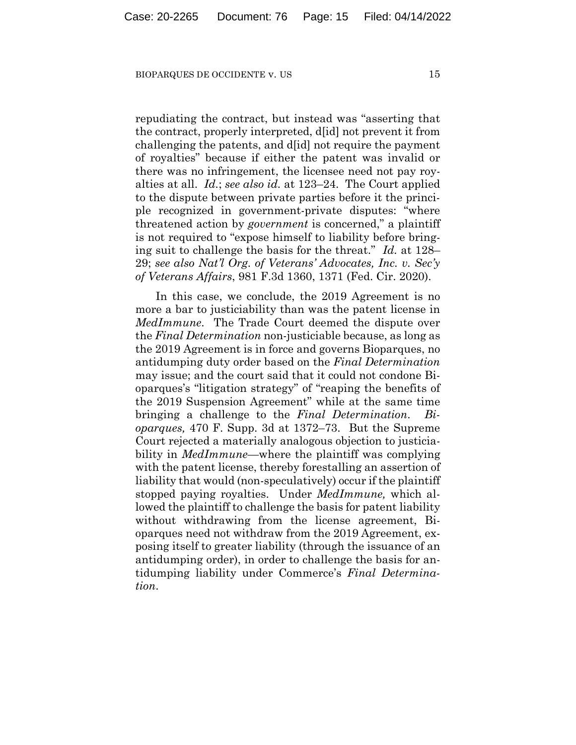repudiating the contract, but instead was "asserting that the contract, properly interpreted, d[id] not prevent it from challenging the patents, and d[id] not require the payment of royalties" because if either the patent was invalid or there was no infringement, the licensee need not pay royalties at all. *Id.*; *see also id.* at 123–24. The Court applied to the dispute between private parties before it the principle recognized in government-private disputes: "where threatened action by *government* is concerned," a plaintiff is not required to "expose himself to liability before bringing suit to challenge the basis for the threat." *Id.* at 128– 29; *see also Nat'l Org. of Veterans' Advocates, Inc. v. Sec'y of Veterans Affairs*, 981 F.3d 1360, 1371 (Fed. Cir. 2020).

In this case, we conclude, the 2019 Agreement is no more a bar to justiciability than was the patent license in *MedImmune*. The Trade Court deemed the dispute over the *Final Determination* non-justiciable because, as long as the 2019 Agreement is in force and governs Bioparques, no antidumping duty order based on the *Final Determination*  may issue; and the court said that it could not condone Bioparques's "litigation strategy" of "reaping the benefits of the 2019 Suspension Agreement" while at the same time bringing a challenge to the *Final Determination*. *oparques,* 470 F. Supp. 3d at 1372–73. But the Supreme Court rejected a materially analogous objection to justiciability in *MedImmune*—where the plaintiff was complying with the patent license, thereby forestalling an assertion of liability that would (non-speculatively) occur if the plaintiff stopped paying royalties. Under *MedImmune,* which allowed the plaintiff to challenge the basis for patent liability without withdrawing from the license agreement, Bioparques need not withdraw from the 2019 Agreement, exposing itself to greater liability (through the issuance of an antidumping order), in order to challenge the basis for antidumping liability under Commerce's *Final Determination*.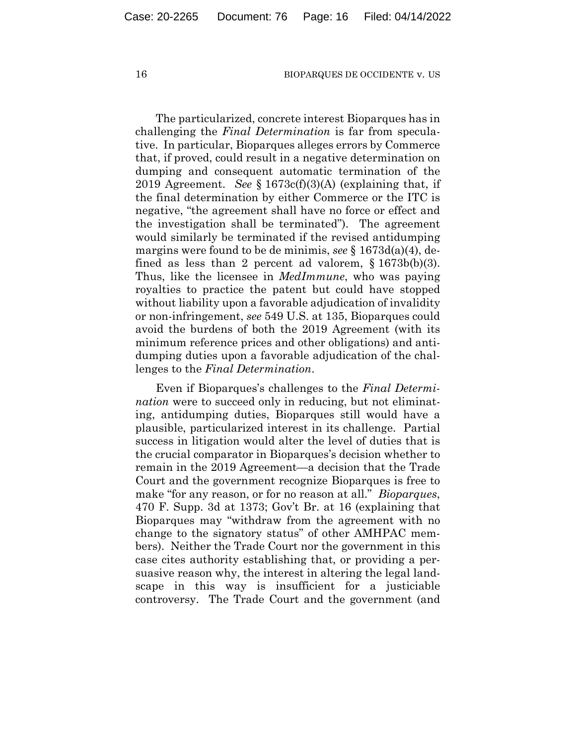The particularized, concrete interest Bioparques has in challenging the *Final Determination* is far from speculative. In particular, Bioparques alleges errors by Commerce that, if proved, could result in a negative determination on dumping and consequent automatic termination of the 2019 Agreement. *See* § 1673c(f)(3)(A) (explaining that, if the final determination by either Commerce or the ITC is negative, "the agreement shall have no force or effect and the investigation shall be terminated"). The agreement would similarly be terminated if the revised antidumping margins were found to be de minimis, *see* § 1673d(a)(4), defined as less than 2 percent ad valorem,  $\S 1673b(b)(3)$ . Thus, like the licensee in *MedImmune*, who was paying royalties to practice the patent but could have stopped without liability upon a favorable adjudication of invalidity or non-infringement, *see* 549 U.S. at 135, Bioparques could avoid the burdens of both the 2019 Agreement (with its minimum reference prices and other obligations) and antidumping duties upon a favorable adjudication of the challenges to the *Final Determination*.

Even if Bioparques's challenges to the *Final Determination* were to succeed only in reducing, but not eliminating, antidumping duties, Bioparques still would have a plausible, particularized interest in its challenge. Partial success in litigation would alter the level of duties that is the crucial comparator in Bioparques's decision whether to remain in the 2019 Agreement—a decision that the Trade Court and the government recognize Bioparques is free to make "for any reason, or for no reason at all." *Bioparques*, 470 F. Supp. 3d at 1373; Gov't Br. at 16 (explaining that Bioparques may "withdraw from the agreement with no change to the signatory status" of other AMHPAC members). Neither the Trade Court nor the government in this case cites authority establishing that, or providing a persuasive reason why, the interest in altering the legal landscape in this way is insufficient for a justiciable controversy. The Trade Court and the government (and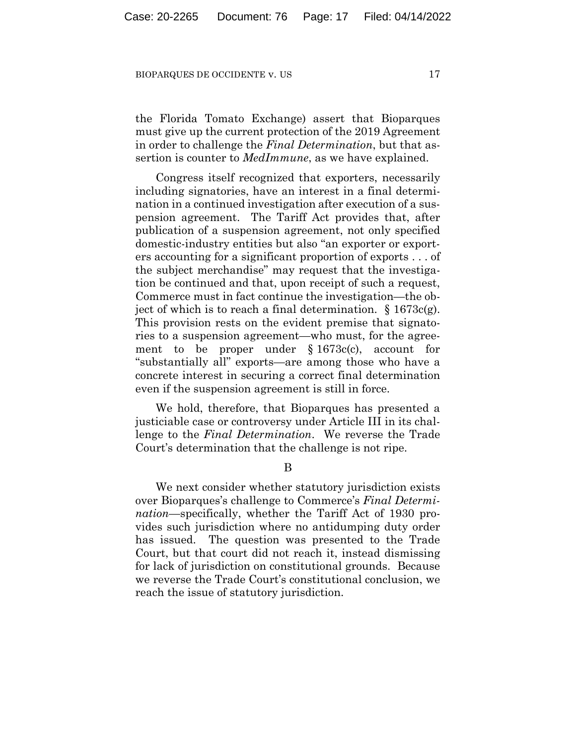the Florida Tomato Exchange) assert that Bioparques must give up the current protection of the 2019 Agreement in order to challenge the *Final Determination*, but that assertion is counter to *MedImmune*, as we have explained.

Congress itself recognized that exporters, necessarily including signatories, have an interest in a final determination in a continued investigation after execution of a suspension agreement. The Tariff Act provides that, after publication of a suspension agreement, not only specified domestic-industry entities but also "an exporter or exporters accounting for a significant proportion of exports . . . of the subject merchandise" may request that the investigation be continued and that, upon receipt of such a request, Commerce must in fact continue the investigation—the object of which is to reach a final determination.  $\S 1673c(g)$ . This provision rests on the evident premise that signatories to a suspension agreement—who must, for the agreement to be proper under § 1673c(c), account for "substantially all" exports—are among those who have a concrete interest in securing a correct final determination even if the suspension agreement is still in force.

We hold, therefore, that Bioparques has presented a justiciable case or controversy under Article III in its challenge to the *Final Determination*. We reverse the Trade Court's determination that the challenge is not ripe.

B

We next consider whether statutory jurisdiction exists over Bioparques's challenge to Commerce's *Final Determination*—specifically, whether the Tariff Act of 1930 provides such jurisdiction where no antidumping duty order has issued. The question was presented to the Trade Court, but that court did not reach it, instead dismissing for lack of jurisdiction on constitutional grounds. Because we reverse the Trade Court's constitutional conclusion, we reach the issue of statutory jurisdiction.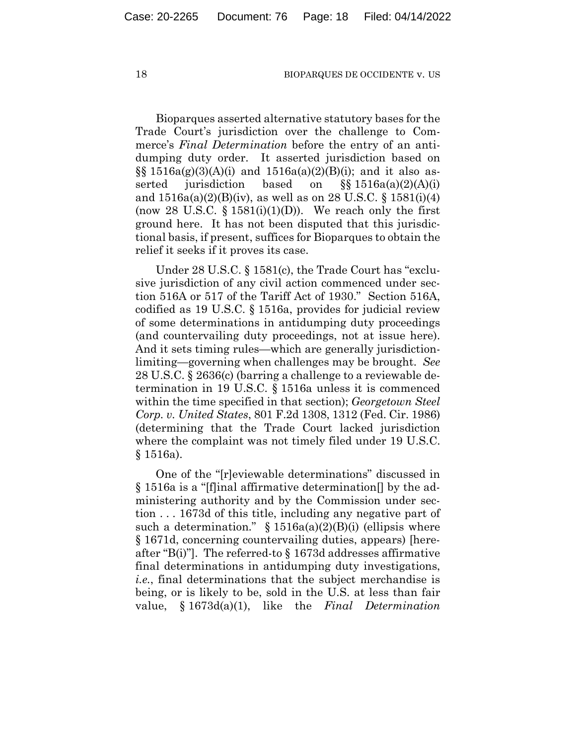Bioparques asserted alternative statutory bases for the Trade Court's jurisdiction over the challenge to Commerce's *Final Determination* before the entry of an antidumping duty order. It asserted jurisdiction based on  $\S$ § 1516a(g)(3)(A)(i) and 1516a(a)(2)(B)(i); and it also asserted jurisdiction based on  $\S$ § 1516a(a)(2)(A)(i) and  $1516a(a)(2)(B)(iv)$ , as well as on 28 U.S.C. § 1581(i)(4) (now 28 U.S.C.  $\S$  1581(i)(1)(D)). We reach only the first ground here. It has not been disputed that this jurisdictional basis, if present, suffices for Bioparques to obtain the relief it seeks if it proves its case.

Under 28 U.S.C. § 1581(c), the Trade Court has "exclusive jurisdiction of any civil action commenced under section 516A or 517 of the Tariff Act of 1930." Section 516A, codified as 19 U.S.C. § 1516a, provides for judicial review of some determinations in antidumping duty proceedings (and countervailing duty proceedings, not at issue here). And it sets timing rules—which are generally jurisdictionlimiting—governing when challenges may be brought. *See* 28 U.S.C. § 2636(c) (barring a challenge to a reviewable determination in 19 U.S.C. § 1516a unless it is commenced within the time specified in that section); *Georgetown Steel Corp. v. United States*, 801 F.2d 1308, 1312 (Fed. Cir. 1986) (determining that the Trade Court lacked jurisdiction where the complaint was not timely filed under 19 U.S.C. § 1516a).

One of the "[r]eviewable determinations" discussed in § 1516a is a "[f]inal affirmative determination[] by the administering authority and by the Commission under section . . . 1673d of this title, including any negative part of such a determination."  $\S$  1516a(a)(2)(B)(i) (ellipsis where § 1671d, concerning countervailing duties, appears) [hereafter "B(i)"]. The referred-to  $\S 1673d$  addresses affirmative final determinations in antidumping duty investigations, *i.e.*, final determinations that the subject merchandise is being, or is likely to be, sold in the U.S. at less than fair value, § 1673d(a)(1), like the *Final Determination*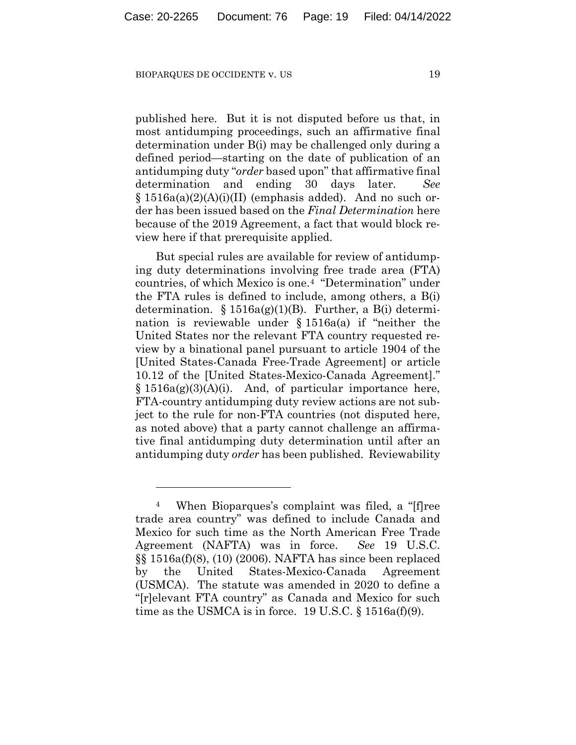published here. But it is not disputed before us that, in most antidumping proceedings, such an affirmative final determination under B(i) may be challenged only during a defined period—starting on the date of publication of an antidumping duty "*order* based upon" that affirmative final determination and ending 30 days later. *See*   $§ 1516a(a)(2)(A)(i)(II)$  (emphasis added). And no such order has been issued based on the *Final Determination* here because of the 2019 Agreement, a fact that would block review here if that prerequisite applied.

But special rules are available for review of antidumping duty determinations involving free trade area (FTA) countries, of which Mexico is one.4 "Determination" under the FTA rules is defined to include, among others, a B(i) determination.  $\S 1516a(g)(1)(B)$ . Further, a B(i) determination is reviewable under § 1516a(a) if "neither the United States nor the relevant FTA country requested review by a binational panel pursuant to article 1904 of the [United States-Canada Free-Trade Agreement] or article 10.12 of the [United States-Mexico-Canada Agreement]."  $§ 1516a(g)(3)(A)(i)$ . And, of particular importance here, FTA-country antidumping duty review actions are not subject to the rule for non-FTA countries (not disputed here, as noted above) that a party cannot challenge an affirmative final antidumping duty determination until after an antidumping duty *order* has been published. Reviewability

<sup>4</sup> When Bioparques's complaint was filed, a "[f]ree trade area country" was defined to include Canada and Mexico for such time as the North American Free Trade Agreement (NAFTA) was in force. *See* 19 U.S.C. §§ 1516a(f)(8), (10) (2006). NAFTA has since been replaced by the United States-Mexico-Canada Agreement (USMCA). The statute was amended in 2020 to define a "[r]elevant FTA country" as Canada and Mexico for such time as the USMCA is in force. 19 U.S.C.  $\S$  1516a(f)(9).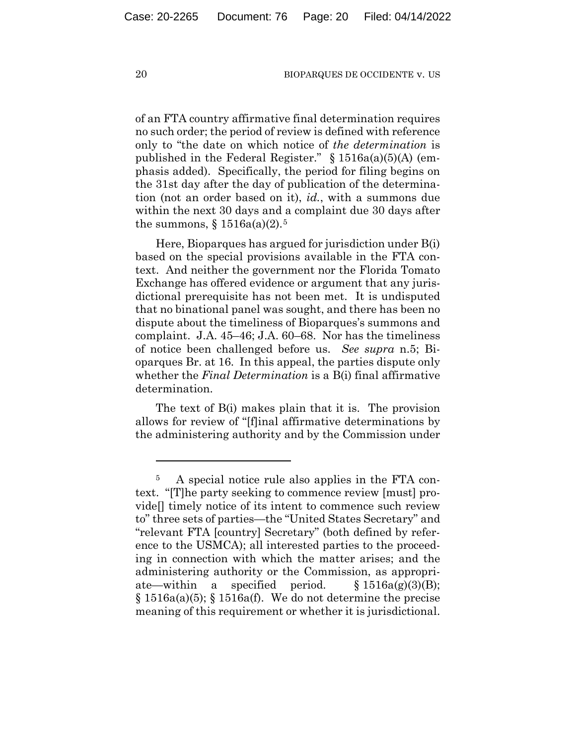of an FTA country affirmative final determination requires no such order; the period of review is defined with reference only to "the date on which notice of *the determination* is published in the Federal Register."  $\S 1516a(a)(5)(A)$  (emphasis added). Specifically, the period for filing begins on the 31st day after the day of publication of the determination (not an order based on it), *id.*, with a summons due within the next 30 days and a complaint due 30 days after the summons,  $\S 1516a(a)(2)$ .<sup>5</sup>

Here, Bioparques has argued for jurisdiction under B(i) based on the special provisions available in the FTA context. And neither the government nor the Florida Tomato Exchange has offered evidence or argument that any jurisdictional prerequisite has not been met. It is undisputed that no binational panel was sought, and there has been no dispute about the timeliness of Bioparques's summons and complaint. J.A. 45–46; J.A. 60–68. Nor has the timeliness of notice been challenged before us. *See supra* n.5; Bioparques Br. at 16. In this appeal, the parties dispute only whether the *Final Determination* is a B(i) final affirmative determination.

The text of B(i) makes plain that it is. The provision allows for review of "[f]inal affirmative determinations by the administering authority and by the Commission under

<sup>5</sup> A special notice rule also applies in the FTA context. "[T]he party seeking to commence review [must] provide[] timely notice of its intent to commence such review to" three sets of parties—the "United States Secretary" and "relevant FTA [country] Secretary" (both defined by reference to the USMCA); all interested parties to the proceeding in connection with which the matter arises; and the administering authority or the Commission, as appropriate—within a specified period.  $\S 1516a(g)(3)(B);$  $\S 1516a(a)(5)$ ;  $\S 1516a(f)$ . We do not determine the precise meaning of this requirement or whether it is jurisdictional.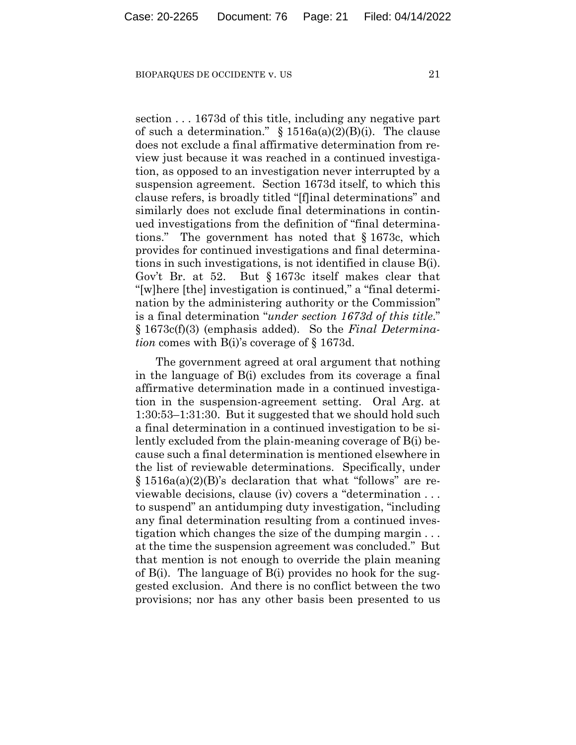section . . . 1673d of this title, including any negative part of such a determination."  $\S$  1516a(a)(2)(B)(i). The clause does not exclude a final affirmative determination from review just because it was reached in a continued investigation, as opposed to an investigation never interrupted by a suspension agreement. Section 1673d itself, to which this clause refers, is broadly titled "[f]inal determinations" and similarly does not exclude final determinations in continued investigations from the definition of "final determinations." The government has noted that § 1673c, which provides for continued investigations and final determinations in such investigations, is not identified in clause B(i). Gov't Br. at 52. But § 1673c itself makes clear that "[w]here [the] investigation is continued," a "final determination by the administering authority or the Commission" is a final determination "*under section 1673d of this title*." § 1673c(f)(3) (emphasis added). So the *Final Determination* comes with B(i)'s coverage of § 1673d.

The government agreed at oral argument that nothing in the language of B(i) excludes from its coverage a final affirmative determination made in a continued investigation in the suspension-agreement setting. Oral Arg. at 1:30:53–1:31:30. But it suggested that we should hold such a final determination in a continued investigation to be silently excluded from the plain-meaning coverage of B(i) because such a final determination is mentioned elsewhere in the list of reviewable determinations. Specifically, under § 1516a(a)(2)(B)'s declaration that what "follows" are reviewable decisions, clause (iv) covers a "determination . . . to suspend" an antidumping duty investigation, "including any final determination resulting from a continued investigation which changes the size of the dumping margin . . . at the time the suspension agreement was concluded." But that mention is not enough to override the plain meaning of B(i). The language of B(i) provides no hook for the suggested exclusion. And there is no conflict between the two provisions; nor has any other basis been presented to us